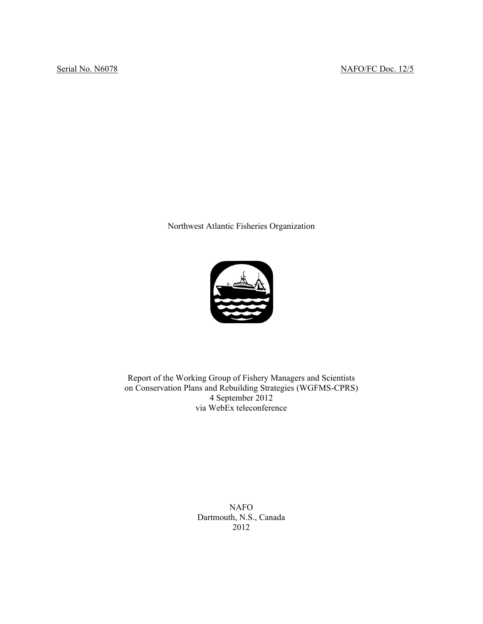Northwest Atlantic Fisheries Organization



Report of the Working Group of Fishery Managers and Scientists on Conservation Plans and Rebuilding Strategies (WGFMS-CPRS) 4 September 2012 via WebEx teleconference

> NAFO Dartmouth, N.S., Canada 2012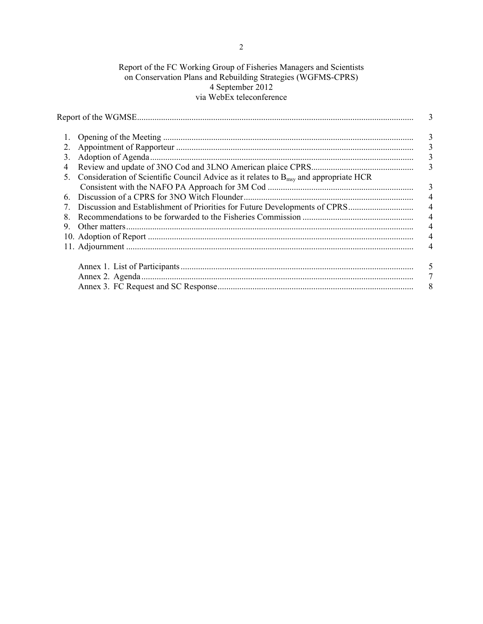# Report of the FC Working Group of Fisheries Managers and Scientists on Conservation Plans and Rebuilding Strategies (WGFMS-CPRS) 4 September 2012 via WebEx teleconference

|               |                                                                                                  | 3               |
|---------------|--------------------------------------------------------------------------------------------------|-----------------|
| 1.            |                                                                                                  | 3               |
| 2.            |                                                                                                  | 3               |
| 3.            |                                                                                                  | 3               |
| 4             |                                                                                                  | 3               |
| $\mathcal{F}$ | Consideration of Scientific Council Advice as it relates to $B_{\text{msy}}$ and appropriate HCR |                 |
|               |                                                                                                  | 3               |
| 6             |                                                                                                  | $\overline{4}$  |
|               |                                                                                                  | $\overline{4}$  |
| 8             |                                                                                                  | $\overline{4}$  |
| 9             |                                                                                                  | $\overline{4}$  |
|               |                                                                                                  | $\overline{4}$  |
|               |                                                                                                  | 4               |
|               |                                                                                                  | 5               |
|               |                                                                                                  | $7\phantom{.0}$ |
|               |                                                                                                  | 8 <sup>8</sup>  |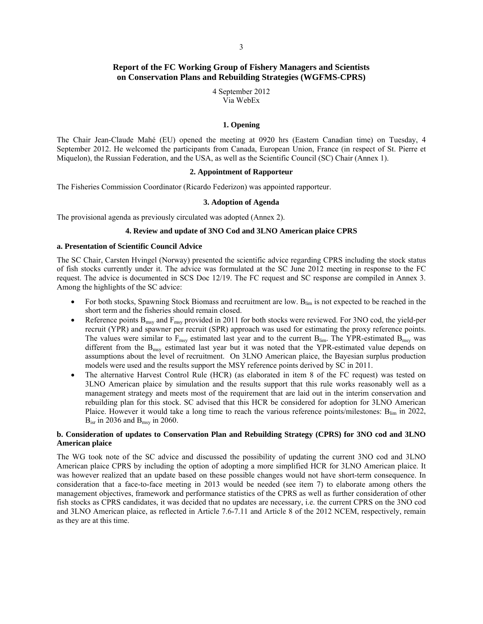# **Report of the FC Working Group of Fishery Managers and Scientists on Conservation Plans and Rebuilding Strategies (WGFMS-CPRS)**

4 September 2012 Via WebEx

### **1. Opening**

The Chair Jean-Claude Mahé (EU) opened the meeting at 0920 hrs (Eastern Canadian time) on Tuesday, 4 September 2012. He welcomed the participants from Canada, European Union, France (in respect of St. Pierre et Miquelon), the Russian Federation, and the USA, as well as the Scientific Council (SC) Chair (Annex 1).

### **2. Appointment of Rapporteur**

The Fisheries Commission Coordinator (Ricardo Federizon) was appointed rapporteur.

### **3. Adoption of Agenda**

The provisional agenda as previously circulated was adopted (Annex 2).

## **4. Review and update of 3NO Cod and 3LNO American plaice CPRS**

### **a. Presentation of Scientific Council Advice**

The SC Chair, Carsten Hvingel (Norway) presented the scientific advice regarding CPRS including the stock status of fish stocks currently under it. The advice was formulated at the SC June 2012 meeting in response to the FC request. The advice is documented in SCS Doc 12/19. The FC request and SC response are compiled in Annex 3. Among the highlights of the SC advice:

- For both stocks, Spawning Stock Biomass and recruitment are low. B<sub>lim</sub> is not expected to be reached in the short term and the fisheries should remain closed.
- Reference points B<sub>msy</sub> and F<sub>msy</sub> provided in 2011 for both stocks were reviewed. For 3NO cod, the yield-per recruit (YPR) and spawner per recruit (SPR) approach was used for estimating the proxy reference points. The values were similar to  $F_{\text{msv}}$  estimated last year and to the current  $B_{\text{lim}}$ . The YPR-estimated  $B_{\text{msv}}$  was different from the  $B_{\text{msy}}$  estimated last year but it was noted that the YPR-estimated value depends on assumptions about the level of recruitment. On 3LNO American plaice, the Bayesian surplus production models were used and the results support the MSY reference points derived by SC in 2011.
- The alternative Harvest Control Rule (HCR) (as elaborated in item 8 of the FC request) was tested on 3LNO American plaice by simulation and the results support that this rule works reasonably well as a management strategy and meets most of the requirement that are laid out in the interim conservation and rebuilding plan for this stock. SC advised that this HCR be considered for adoption for 3LNO American Plaice. However it would take a long time to reach the various reference points/milestones:  $B_{lim}$  in 2022,  $B_{\text{isr}}$  in 2036 and  $B_{\text{msv}}$  in 2060.

## **b. Consideration of updates to Conservation Plan and Rebuilding Strategy (CPRS) for 3NO cod and 3LNO American plaice**

The WG took note of the SC advice and discussed the possibility of updating the current 3NO cod and 3LNO American plaice CPRS by including the option of adopting a more simplified HCR for 3LNO American plaice. It was however realized that an update based on these possible changes would not have short-term consequence. In consideration that a face-to-face meeting in 2013 would be needed (see item 7) to elaborate among others the management objectives, framework and performance statistics of the CPRS as well as further consideration of other fish stocks as CPRS candidates, it was decided that no updates are necessary, i.e. the current CPRS on the 3NO cod and 3LNO American plaice, as reflected in Article 7.6-7.11 and Article 8 of the 2012 NCEM, respectively, remain as they are at this time.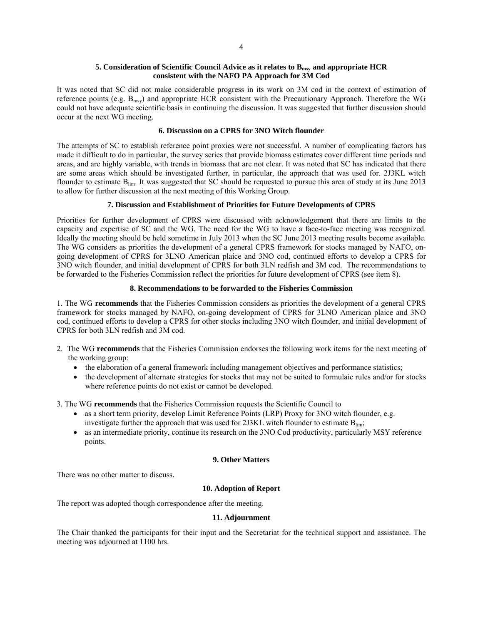### **5. Consideration of Scientific Council Advice as it relates to Bmsy and appropriate HCR consistent with the NAFO PA Approach for 3M Cod**

It was noted that SC did not make considerable progress in its work on 3M cod in the context of estimation of reference points (e.g. Bmsy) and appropriate HCR consistent with the Precautionary Approach. Therefore the WG could not have adequate scientific basis in continuing the discussion. It was suggested that further discussion should occur at the next WG meeting.

### **6. Discussion on a CPRS for 3NO Witch flounder**

The attempts of SC to establish reference point proxies were not successful. A number of complicating factors has made it difficult to do in particular, the survey series that provide biomass estimates cover different time periods and areas, and are highly variable, with trends in biomass that are not clear. It was noted that SC has indicated that there are some areas which should be investigated further, in particular, the approach that was used for. 2J3KL witch flounder to estimate  $B_{\text{lim}}$ . It was suggested that SC should be requested to pursue this area of study at its June 2013 to allow for further discussion at the next meeting of this Working Group.

### **7. Discussion and Establishment of Priorities for Future Developments of CPRS**

Priorities for further development of CPRS were discussed with acknowledgement that there are limits to the capacity and expertise of SC and the WG. The need for the WG to have a face-to-face meeting was recognized. Ideally the meeting should be held sometime in July 2013 when the SC June 2013 meeting results become available. The WG considers as priorities the development of a general CPRS framework for stocks managed by NAFO, ongoing development of CPRS for 3LNO American plaice and 3NO cod, continued efforts to develop a CPRS for 3NO witch flounder, and initial development of CPRS for both 3LN redfish and 3M cod. The recommendations to be forwarded to the Fisheries Commission reflect the priorities for future development of CPRS (see item 8).

### **8. Recommendations to be forwarded to the Fisheries Commission**

1. The WG **recommends** that the Fisheries Commission considers as priorities the development of a general CPRS framework for stocks managed by NAFO, on-going development of CPRS for 3LNO American plaice and 3NO cod, continued efforts to develop a CPRS for other stocks including 3NO witch flounder, and initial development of CPRS for both 3LN redfish and 3M cod.

- 2. The WG **recommends** that the Fisheries Commission endorses the following work items for the next meeting of the working group:
	- the elaboration of a general framework including management objectives and performance statistics;
	- the development of alternate strategies for stocks that may not be suited to formulaic rules and/or for stocks where reference points do not exist or cannot be developed.

3. The WG **recommends** that the Fisheries Commission requests the Scientific Council to

- as a short term priority, develop Limit Reference Points (LRP) Proxy for 3NO witch flounder, e.g. investigate further the approach that was used for  $2J3KL$  witch flounder to estimate  $B_{lim}$ ;
- as an intermediate priority, continue its research on the 3NO Cod productivity, particularly MSY reference points.

### **9. Other Matters**

There was no other matter to discuss.

## **10. Adoption of Report**

The report was adopted though correspondence after the meeting.

### **11. Adjournment**

The Chair thanked the participants for their input and the Secretariat for the technical support and assistance. The meeting was adjourned at 1100 hrs.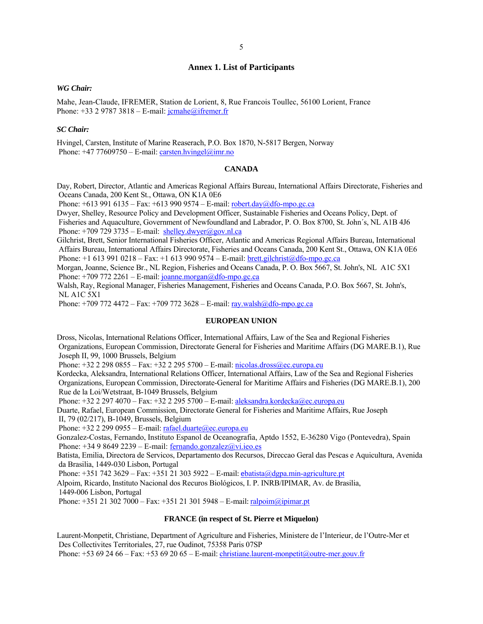# **Annex 1. List of Participants**

#### *WG Chair:*

Mahe, Jean-Claude, IFREMER, Station de Lorient, 8, Rue Francois Toullec, 56100 Lorient, France Phone: +33 2 9787 3818 – E-mail: jcmahe@ifremer.fr

### *SC Chair:*

Hvingel, Carsten, Institute of Marine Reaserach, P.O. Box 1870, N-5817 Bergen, Norway Phone:  $+47$  77609750 – E-mail: carsten.hvingel@imr.no

### **CANADA**

Day, Robert, Director, Atlantic and Americas Regional Affairs Bureau, International Affairs Directorate, Fisheries and Oceans Canada, 200 Kent St., Ottawa, ON K1A 0E6

Phone:  $+6139916135 - Fax$ :  $+6139909574 - E-mail$ : robert.day@dfo-mpo.gc.ca

Dwyer, Shelley, Resource Policy and Development Officer, Sustainable Fisheries and Oceans Policy, Dept. of Fisheries and Aquaculture, Government of Newfoundland and Labrador, P. O. Box 8700, St. John´s, NL A1B 4J6 Phone:  $+709$  729 3735 – E-mail: shelley.dwyer@gov.nl.ca

Gilchrist, Brett, Senior International Fisheries Officer, Atlantic and Americas Regional Affairs Bureau, International Affairs Bureau, International Affairs Directorate, Fisheries and Oceans Canada, 200 Kent St., Ottawa, ON K1A 0E6 Phone: +1 613 991 0218 – Fax: +1 613 990 9574 – E-mail: brett.gilchrist@dfo-mpo.gc.ca

Morgan, Joanne, Science Br., NL Region, Fisheries and Oceans Canada, P. O. Box 5667, St. John's, NL A1C 5X1 Phone:  $+7097722261 - E-mail$ : joanne.morgan@dfo-mpo.gc.ca

Walsh, Ray, Regional Manager, Fisheries Management, Fisheries and Oceans Canada, P.O. Box 5667, St. John's, NL A1C 5X1

Phone:  $+709 772 4472 - Fax$ :  $+709 772 3628 - E-mail$ : ray.walsh $@dfo-mpo.gc.ca$ 

### **EUROPEAN UNION**

Dross, Nicolas, International Relations Officer, International Affairs, Law of the Sea and Regional Fisheries Organizations, European Commission, Directorate General for Fisheries and Maritime Affairs (DG MARE.B.1), Rue Joseph II, 99, 1000 Brussels, Belgium

Phone: +32 2 298 0855 – Fax: +32 2 295 5700 – E-mail: nicolas.dross@ec.europa.eu

Kordecka, Aleksandra, International Relations Officer, International Affairs, Law of the Sea and Regional Fisheries Organizations, European Commission, Directorate-General for Maritime Affairs and Fisheries (DG MARE.B.1), 200 Rue de la Loi/Wetstraat, B-1049 Brussels, Belgium

Phone: +32 2 297 4070 – Fax: +32 2 295 5700 – E-mail: aleksandra.kordecka@ec.europa.eu

Duarte, Rafael, European Commission, Directorate General for Fisheries and Maritime Affairs, Rue Joseph II, 79 (02/217), B-1049, Brussels, Belgium

Phone:  $+32$  2 299 0955 – E-mail: rafael.duarte@ec.europa.eu

Gonzalez-Costas, Fernando, Instituto Espanol de Oceanografia, Aptdo 1552, E-36280 Vigo (Pontevedra), Spain Phone:  $+34986492239 - E$ -mail: fernando.gonzalez@vi.ieo.es

Batista, Emilia, Directora de Servicos, Departamento dos Recursos, Direccao Geral das Pescas e Aquicultura, Avenida da Brasilia, 1449-030 Lisbon, Portugal

Phone: +351 742 3629 – Fax: +351 21 303 5922 – E-mail: ebatista@dgpa.min-agriculture.pt

Alpoim, Ricardo, Instituto Nacional dos Recuros Biológicos, I. P. INRB/IPIMAR, Av. de Brasilia, 1449-006 Lisbon, Portugal

Phone: +351 21 302 7000 – Fax: +351 21 301 5948 – E-mail: ralpoim@ipimar.pt

#### **FRANCE (in respect of St. Pierre et Miquelon)**

Laurent-Monpetit, Christiane, Department of Agriculture and Fisheries, Ministere de l'Interieur, de l'Outre-Mer et Des Collectivites Territoriales, 27, rue Oudinot, 75358 Paris 07SP

Phone:  $+53692466 - Fax: +53692065 - E-mail: [christiane.laurent-monpetit@outre-mer.gouv.fr](mailto:christiane.laurent-monpetit@outre-mer.gouv.fr)$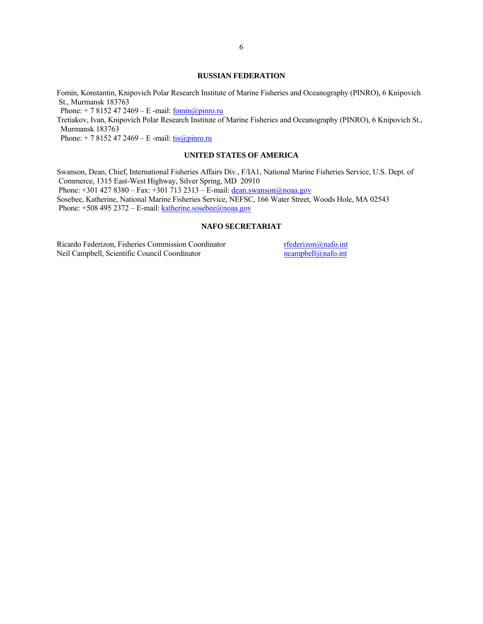### **RUSSIAN FEDERATION**

Fomin, Konstantin, Knipovich Polar Research Institute of Marine Fisheries and Oceanography (PINRO), 6 Knipovich St., Murmansk 183763

Phone:  $+ 78152472469 - E$  -mail:  $fomin@pinro.ru$ 

Tretiakov, Ivan, Knipovich Polar Research Institute of Marine Fisheries and Oceanography (PINRO), 6 Knipovich St., Murmansk 183763

Phone:  $+ 78152472469 - E$  -mail:  $\frac{\text{tis}(a)\text{pinro.ru}}{2}$ 

### **UNITED STATES OF AMERICA**

Swanson, Dean, Chief, International Fisheries Affairs Div., F/IA1, National Marine Fisheries Service, U.S. Dept. of Commerce, 1315 East-West Highway, Silver Spring, MD 20910 Phone:  $+301 427 8380 - Fax: +301 713 2313 - E-mail: [dean.swanson@noaa.gov](mailto:dean.swanson@noaa.gov)$ Sosebee, Katherine, National Marine Fisheries Service, NEFSC, 166 Water Street, Woods Hole, MA 02543 Phone: +508 495 2372 – E-mail: katherine.sosebee@noaa.gov

### **NAFO SECRETARIAT**

Ricardo Federizon, Fisheries Commission Coordinator<br>
Neil Campbell, Scientific Council Coordinator<br>
neampbell@nafo.int Neil Campbell, Scientific Council Coordinator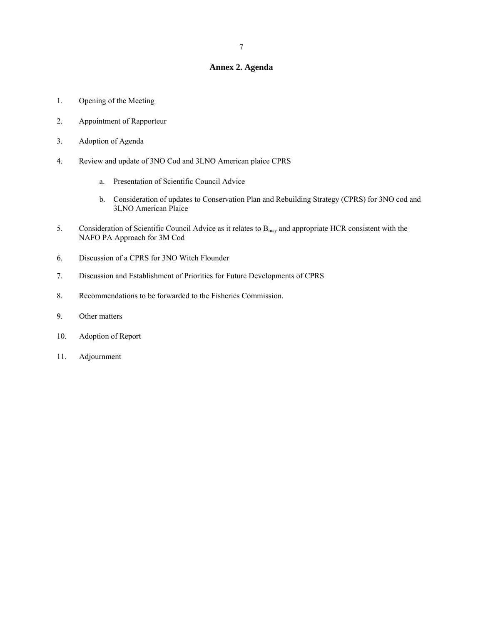### **Annex 2. Agenda**

- 1. Opening of the Meeting
- 2. Appointment of Rapporteur
- 3. Adoption of Agenda
- 4. Review and update of 3NO Cod and 3LNO American plaice CPRS
	- a. Presentation of Scientific Council Advice
	- b. Consideration of updates to Conservation Plan and Rebuilding Strategy (CPRS) for 3NO cod and 3LNO American Plaice
- 5. Consideration of Scientific Council Advice as it relates to  $B_{\text{msy}}$  and appropriate HCR consistent with the NAFO PA Approach for 3M Cod
- 6. Discussion of a CPRS for 3NO Witch Flounder
- 7. Discussion and Establishment of Priorities for Future Developments of CPRS
- 8. Recommendations to be forwarded to the Fisheries Commission.
- 9. Other matters
- 10. Adoption of Report
- 11. Adjournment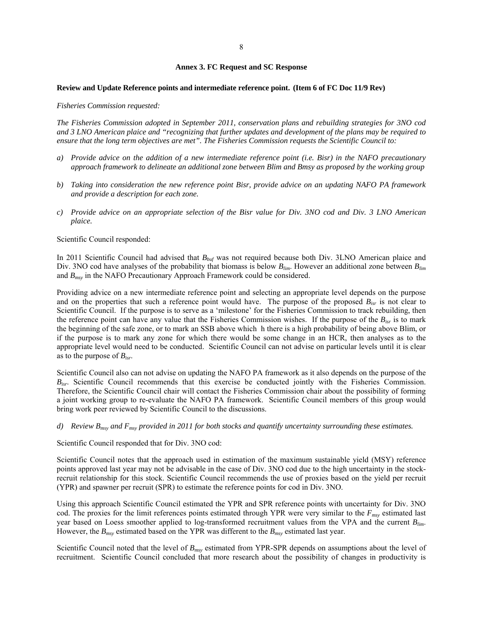#### **Annex 3. FC Request and SC Response**

#### **Review and Update Reference points and intermediate reference point. (Item 6 of FC Doc 11/9 Rev)**

#### *Fisheries Commission requested:*

*The Fisheries Commission adopted in September 2011, conservation plans and rebuilding strategies for 3NO cod and 3 LNO American plaice and "recognizing that further updates and development of the plans may be required to ensure that the long term objectives are met". The Fisheries Commission requests the Scientific Council to:* 

- *a) Provide advice on the addition of a new intermediate reference point (i.e. Bisr) in the NAFO precautionary approach framework to delineate an additional zone between Blim and Bmsy as proposed by the working group*
- *b) Taking into consideration the new reference point Bisr, provide advice on an updating NAFO PA framework and provide a description for each zone.*
- *c) Provide advice on an appropriate selection of the Bisr value for Div. 3NO cod and Div. 3 LNO American plaice.*

Scientific Council responded:

In 2011 Scientific Council had advised that *Bbuf* was not required because both Div. 3LNO American plaice and Div. 3NO cod have analyses of the probability that biomass is below  $B_{lim}$ . However an additional zone between  $B_{lim}$ and *Bmsy* in the NAFO Precautionary Approach Framework could be considered.

Providing advice on a new intermediate reference point and selecting an appropriate level depends on the purpose and on the properties that such a reference point would have. The purpose of the proposed *Bisr* is not clear to Scientific Council. If the purpose is to serve as a 'milestone' for the Fisheries Commission to track rebuilding, then the reference point can have any value that the Fisheries Commission wishes. If the purpose of the *Bisr* is to mark the beginning of the safe zone, or to mark an SSB above which h there is a high probability of being above Blim, or if the purpose is to mark any zone for which there would be some change in an HCR, then analyses as to the appropriate level would need to be conducted. Scientific Council can not advise on particular levels until it is clear as to the purpose of *Bisr*.

Scientific Council also can not advise on updating the NAFO PA framework as it also depends on the purpose of the *B<sub>isr</sub>*. Scientific Council recommends that this exercise be conducted jointly with the Fisheries Commission. Therefore, the Scientific Council chair will contact the Fisheries Commission chair about the possibility of forming a joint working group to re-evaluate the NAFO PA framework. Scientific Council members of this group would bring work peer reviewed by Scientific Council to the discussions.

### *d) Review Bmsy and Fmsy provided in 2011 for both stocks and quantify uncertainty surrounding these estimates.*

Scientific Council responded that for Div. 3NO cod:

Scientific Council notes that the approach used in estimation of the maximum sustainable yield (MSY) reference points approved last year may not be advisable in the case of Div. 3NO cod due to the high uncertainty in the stockrecruit relationship for this stock. Scientific Council recommends the use of proxies based on the yield per recruit (YPR) and spawner per recruit (SPR) to estimate the reference points for cod in Div. 3NO.

Using this approach Scientific Council estimated the YPR and SPR reference points with uncertainty for Div. 3NO cod. The proxies for the limit references points estimated through YPR were very similar to the  $F_{\text{mv}}$  estimated last year based on Loess smoother applied to log-transformed recruitment values from the VPA and the current *Blim*. However, the *Bmsy* estimated based on the YPR was different to the *Bmsy* estimated last year.

Scientific Council noted that the level of *Bmsy* estimated from YPR-SPR depends on assumptions about the level of recruitment. Scientific Council concluded that more research about the possibility of changes in productivity is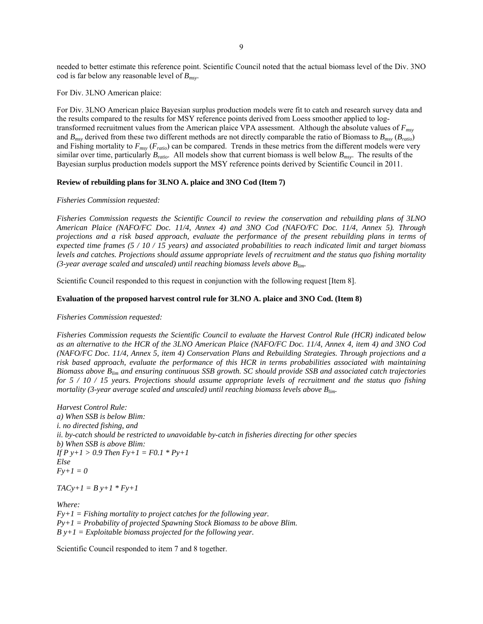needed to better estimate this reference point. Scientific Council noted that the actual biomass level of the Div. 3NO cod is far below any reasonable level of *Bmsy*.

For Div. 3LNO American plaice:

For Div. 3LNO American plaice Bayesian surplus production models were fit to catch and research survey data and the results compared to the results for MSY reference points derived from Loess smoother applied to logtransformed recruitment values from the American plaice VPA assessment. Although the absolute values of *Fmsy* and *Bmsy* derived from these two different methods are not directly comparable the ratio of Biomass to *Bmsy* (*Bratio*) and Fishing mortality to *Fmsy* (*Fratio*) can be compared. Trends in these metrics from the different models were very similar over time, particularly *Bratio*. All models show that current biomass is well below *Bmsy*. The results of the Bayesian surplus production models support the MSY reference points derived by Scientific Council in 2011.

### **Review of rebuilding plans for 3LNO A. plaice and 3NO Cod (Item 7)**

### *Fisheries Commission requested:*

*Fisheries Commission requests the Scientific Council to review the conservation and rebuilding plans of 3LNO American Plaice (NAFO/FC Doc. 11/4, Annex 4) and 3NO Cod (NAFO/FC Doc. 11/4, Annex 5). Through projections and a risk based approach, evaluate the performance of the present rebuilding plans in terms of expected time frames (5 / 10 / 15 years) and associated probabilities to reach indicated limit and target biomass levels and catches. Projections should assume appropriate levels of recruitment and the status quo fishing mortality (3-year average scaled and unscaled) until reaching biomass levels above Blim.* 

Scientific Council responded to this request in conjunction with the following request [Item 8].

### **Evaluation of the proposed harvest control rule for 3LNO A. plaice and 3NO Cod. (Item 8)**

#### *Fisheries Commission requested:*

*Fisheries Commission requests the Scientific Council to evaluate the Harvest Control Rule (HCR) indicated below as an alternative to the HCR of the 3LNO American Plaice (NAFO/FC Doc. 11/4, Annex 4, item 4) and 3NO Cod (NAFO/FC Doc. 11/4, Annex 5, item 4) Conservation Plans and Rebuilding Strategies. Through projections and a risk based approach, evaluate the performance of this HCR in terms probabilities associated with maintaining Biomass above Blim and ensuring continuous SSB growth. SC should provide SSB and associated catch trajectories for 5 / 10 / 15 years. Projections should assume appropriate levels of recruitment and the status quo fishing mortality (3-year average scaled and unscaled) until reaching biomass levels above B*<sub>lim</sub>.

*Harvest Control Rule: a) When SSB is below Blim: i. no directed fishing, and ii. by-catch should be restricted to unavoidable by-catch in fisheries directing for other species b) When SSB is above Blim: If P y+1 > 0.9 Then Fy+1 = F0.1 \* Py+1 Else*   $Fv+1=0$ 

 $TACy+1 = By+1 * Fy+1$ 

*Where:*   $Fy+1 = Fishing mortality to project catches for the following year.$ *Py+1 = Probability of projected Spawning Stock Biomass to be above Blim. B y+1 = Exploitable biomass projected for the following year.* 

Scientific Council responded to item 7 and 8 together.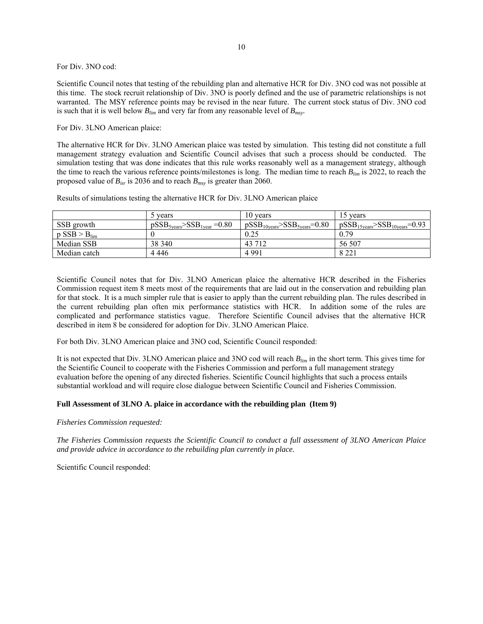### For Div. 3NO cod:

Scientific Council notes that testing of the rebuilding plan and alternative HCR for Div. 3NO cod was not possible at this time. The stock recruit relationship of Div. 3NO is poorly defined and the use of parametric relationships is not warranted. The MSY reference points may be revised in the near future. The current stock status of Div. 3NO cod is such that it is well below  $B_{lim}$  and very far from any reasonable level of  $B_{max}$ .

### For Div. 3LNO American plaice:

The alternative HCR for Div. 3LNO American plaice was tested by simulation. This testing did not constitute a full management strategy evaluation and Scientific Council advises that such a process should be conducted. The simulation testing that was done indicates that this rule works reasonably well as a management strategy, although the time to reach the various reference points/milestones is long. The median time to reach *Blim* is 2022, to reach the proposed value of *Bisr* is 2036 and to reach *Bmsy* is greater than 2060.

Results of simulations testing the alternative HCR for Div. 3LNO American plaice

|                            | t vears                        | 10 years                                                | 15 years                                                |
|----------------------------|--------------------------------|---------------------------------------------------------|---------------------------------------------------------|
| SSB growth                 | $pSSB5years > SSB1year = 0.80$ | $pSSB_{10 \text{years}}$ >SS $B_{5 \text{years}}$ =0.80 | $pSSB_{15 \text{years}} > SSB_{10 \text{years}} = 0.93$ |
| $p$ SSB > B <sub>lim</sub> |                                | 0.25                                                    | 0.79                                                    |
| Median SSB                 | 38 340                         | 43 7 12                                                 | 56 507                                                  |
| Median catch               | 4 4 4 4 6                      | 4 9 9 1                                                 | 8 2 2 1                                                 |

Scientific Council notes that for Div. 3LNO American plaice the alternative HCR described in the Fisheries Commission request item 8 meets most of the requirements that are laid out in the conservation and rebuilding plan for that stock. It is a much simpler rule that is easier to apply than the current rebuilding plan. The rules described in the current rebuilding plan often mix performance statistics with HCR. In addition some of the rules are complicated and performance statistics vague. Therefore Scientific Council advises that the alternative HCR described in item 8 be considered for adoption for Div. 3LNO American Plaice.

For both Div. 3LNO American plaice and 3NO cod, Scientific Council responded:

It is not expected that Div. 3LNO American plaice and 3NO cod will reach *Blim* in the short term. This gives time for the Scientific Council to cooperate with the Fisheries Commission and perform a full management strategy evaluation before the opening of any directed fisheries. Scientific Council highlights that such a process entails substantial workload and will require close dialogue between Scientific Council and Fisheries Commission.

### **Full Assessment of 3LNO A. plaice in accordance with the rebuilding plan (Item 9)**

*Fisheries Commission requested:* 

*The Fisheries Commission requests the Scientific Council to conduct a full assessment of 3LNO American Plaice and provide advice in accordance to the rebuilding plan currently in place.*

Scientific Council responded: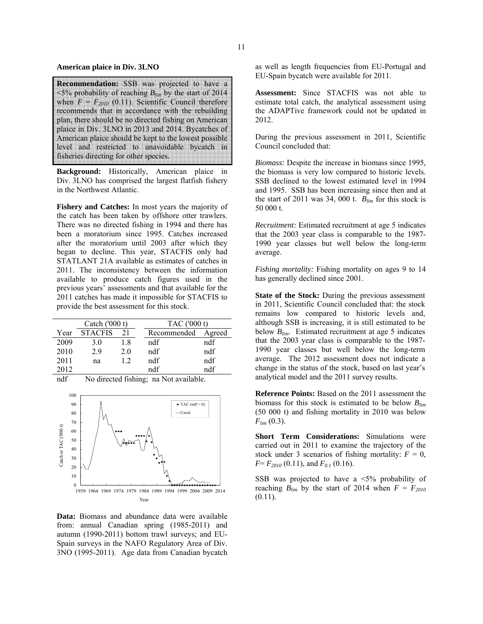#### **American plaice in Div. 3LNO**

**Recommendation:** SSB was projected to have a  $\leq$ 5% probability of reaching  $B_{lim}$  by the start of 2014 when  $F = F_{2010}$  (0.11). Scientific Council therefore recommends that in accordance with the rebuilding plan, there should be no directed fishing on American plaice in Div. 3LNO in 2013 and 2014. Bycatches of American plaice should be kept to the lowest possible level and restricted to unavoidable bycatch in fisheries directing for other species.

**Background:** Historically, American plaice in Div. 3LNO has comprised the largest flatfish fishery in the Northwest Atlantic.

**Fishery and Catches:** In most years the majority of the catch has been taken by offshore otter trawlers. There was no directed fishing in 1994 and there has been a moratorium since 1995. Catches increased after the moratorium until 2003 after which they began to decline. This year, STACFIS only had STATLANT 21A available as estimates of catches in 2011. The inconsistency between the information available to produce catch figures used in the previous years' assessments and that available for the 2011 catches has made it impossible for STACFIS to provide the best assessment for this stock.

| Catch $(000 t)$ |                |     | TAC ('000 t) |        |  |
|-----------------|----------------|-----|--------------|--------|--|
| Year            | <b>STACFIS</b> | 21  | Recommended  | Agreed |  |
| 2009            | 3.0            | 1.8 | ndf          | ndf    |  |
| 2010            | 29             | 20  | ndf          | ndf    |  |
| 2011            | na             | 12  | ndf          | ndf    |  |
| 2012            |                |     | ndf          | ndf    |  |

ndf No directed fishing; na Not available.



**Data:** Biomass and abundance data were available from: annual Canadian spring (1985-2011) and autumn (1990-2011) bottom trawl surveys; and EU-Spain surveys in the NAFO Regulatory Area of Div. 3NO (1995-2011). Age data from Canadian bycatch

as well as length frequencies from EU-Portugal and EU-Spain bycatch were available for 2011.

**Assessment:** Since STACFIS was not able to estimate total catch, the analytical assessment using the ADAPTive framework could not be updated in 2012.

During the previous assessment in 2011, Scientific Council concluded that:

*Biomass:* Despite the increase in biomass since 1995, the biomass is very low compared to historic levels. SSB declined to the lowest estimated level in 1994 and 1995. SSB has been increasing since then and at the start of 2011 was 34, 000 t. *Blim* for this stock is 50 000 t.

*Recruitment:* Estimated recruitment at age 5 indicates that the 2003 year class is comparable to the 1987- 1990 year classes but well below the long-term average.

*Fishing mortality:* Fishing mortality on ages 9 to 14 has generally declined since 2001.

**State of the Stock:** During the previous assessment in 2011, Scientific Council concluded that: the stock remains low compared to historic levels and, although SSB is increasing, it is still estimated to be below  $B_{lim}$ . Estimated recruitment at age 5 indicates that the 2003 year class is comparable to the 1987- 1990 year classes but well below the long-term average. The 2012 assessment does not indicate a change in the status of the stock, based on last year's analytical model and the 2011 survey results.

**Reference Points:** Based on the 2011 assessment the biomass for this stock is estimated to be below *Blim* (50 000 t) and fishing mortality in 2010 was below  $F_{lim}$  (0.3).

**Short Term Considerations:** Simulations were carried out in 2011 to examine the trajectory of the stock under 3 scenarios of fishing mortality:  $F = 0$ ,  $F = F_{2010}$  (0.11), and  $F_{0.1}$  (0.16).

SSB was projected to have a  $\leq 5\%$  probability of reaching  $B_{lim}$  by the start of 2014 when  $F = F_{2010}$  $(0.11)$ .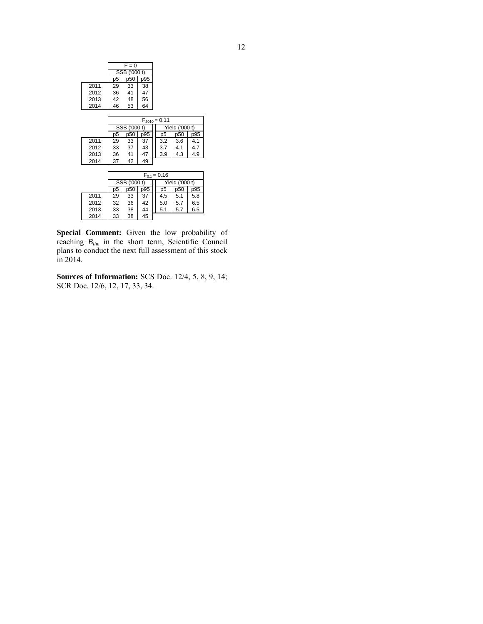|      | $F = 0$          |     |     |                   |                |     |  |
|------|------------------|-----|-----|-------------------|----------------|-----|--|
|      | SSB ('000 t)     |     |     |                   |                |     |  |
|      | p <sub>5</sub>   | p50 | p95 |                   |                |     |  |
| 2011 | 29               | 33  | 38  |                   |                |     |  |
| 2012 | 36               | 41  | 47  |                   |                |     |  |
| 2013 | 42               | 48  | 56  |                   |                |     |  |
| 2014 | 46               | 53  | 64  |                   |                |     |  |
|      |                  |     |     |                   |                |     |  |
|      |                  |     |     | $F_{2010} = 0.11$ |                |     |  |
|      | SSB ('000 t)     |     |     |                   | Yield ('000 t) |     |  |
|      | p <sub>5</sub>   | p50 | p95 | p <sub>5</sub>    | p50            | p95 |  |
| 2011 | 29               | 33  | 37  | 3.2               | 3.6            | 4.1 |  |
| 2012 | 33               | 37  | 43  | 3.7               | 4.1            | 4.7 |  |
| 2013 | 36               | 41  | 47  | 3.9               | 4.3            | 4.9 |  |
| 2014 | 37               | 42  | 49  |                   |                |     |  |
|      |                  |     |     |                   |                |     |  |
|      | $F_{0.1} = 0.16$ |     |     |                   |                |     |  |
|      | SSB ('000 t)     |     |     | Yield ('000 t)    |                |     |  |
|      | p <sub>5</sub>   | p50 | p95 | p <sub>5</sub>    | p50            | p95 |  |
| 2011 | 29               | 33  | 37  | 4.5               | 5.1            | 5.8 |  |
| 2012 | 32               | 36  | 42  | 5.0               | 5.7            | 6.5 |  |
| 2013 | 33               | 38  | 44  | 5.1               | 5.7            | 6.5 |  |
| 2014 | 33               | 38  | 45  |                   |                |     |  |

**Special Comment:** Given the low probability of reaching *Blim* in the short term, Scientific Council plans to conduct the next full assessment of this stock in 2014.

**Sources of Information:** SCS Doc. 12/4, 5, 8, 9, 14; SCR Doc. 12/6, 12, 17, 33, 34.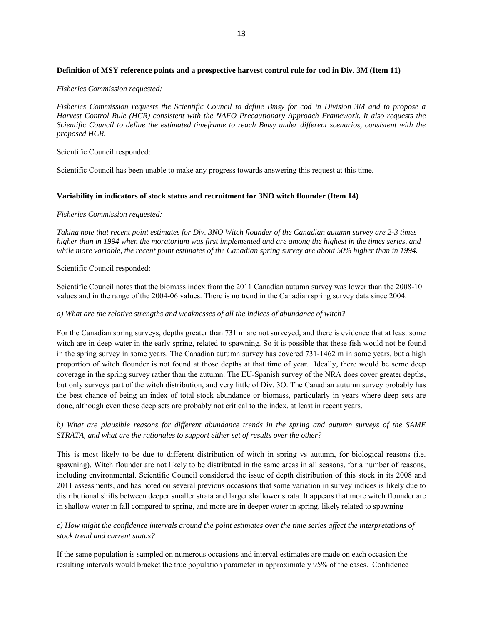### **Definition of MSY reference points and a prospective harvest control rule for cod in Div. 3M (Item 11)**

### *Fisheries Commission requested:*

*Fisheries Commission requests the Scientific Council to define Bmsy for cod in Division 3M and to propose a Harvest Control Rule (HCR) consistent with the NAFO Precautionary Approach Framework. It also requests the Scientific Council to define the estimated timeframe to reach Bmsy under different scenarios, consistent with the proposed HCR.* 

Scientific Council responded:

Scientific Council has been unable to make any progress towards answering this request at this time.

### **Variability in indicators of stock status and recruitment for 3NO witch flounder (Item 14)**

### *Fisheries Commission requested:*

*Taking note that recent point estimates for Div. 3NO Witch flounder of the Canadian autumn survey are 2-3 times higher than in 1994 when the moratorium was first implemented and are among the highest in the times series, and*  while more variable, the recent point estimates of the Canadian spring survey are about 50% higher than in 1994.

### Scientific Council responded:

Scientific Council notes that the biomass index from the 2011 Canadian autumn survey was lower than the 2008-10 values and in the range of the 2004-06 values. There is no trend in the Canadian spring survey data since 2004.

### *a) What are the relative strengths and weaknesses of all the indices of abundance of witch?*

For the Canadian spring surveys, depths greater than 731 m are not surveyed, and there is evidence that at least some witch are in deep water in the early spring, related to spawning. So it is possible that these fish would not be found in the spring survey in some years. The Canadian autumn survey has covered 731-1462 m in some years, but a high proportion of witch flounder is not found at those depths at that time of year. Ideally, there would be some deep coverage in the spring survey rather than the autumn. The EU-Spanish survey of the NRA does cover greater depths, but only surveys part of the witch distribution, and very little of Div. 3O. The Canadian autumn survey probably has the best chance of being an index of total stock abundance or biomass, particularly in years where deep sets are done, although even those deep sets are probably not critical to the index, at least in recent years.

# *b) What are plausible reasons for different abundance trends in the spring and autumn surveys of the SAME STRATA, and what are the rationales to support either set of results over the other?*

This is most likely to be due to different distribution of witch in spring vs autumn, for biological reasons (i.e. spawning). Witch flounder are not likely to be distributed in the same areas in all seasons, for a number of reasons, including environmental. Scientific Council considered the issue of depth distribution of this stock in its 2008 and 2011 assessments, and has noted on several previous occasions that some variation in survey indices is likely due to distributional shifts between deeper smaller strata and larger shallower strata. It appears that more witch flounder are in shallow water in fall compared to spring, and more are in deeper water in spring, likely related to spawning

# *c) How might the confidence intervals around the point estimates over the time series affect the interpretations of stock trend and current status?*

If the same population is sampled on numerous occasions and interval estimates are made on each occasion the resulting intervals would bracket the true population parameter in approximately 95% of the cases. Confidence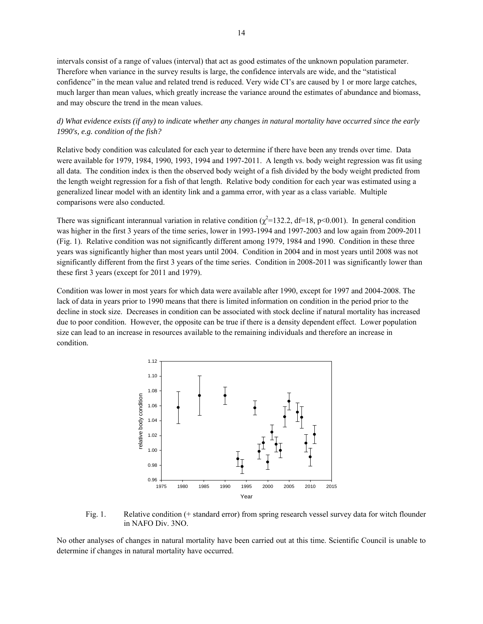intervals consist of a range of values (interval) that act as good estimates of the unknown population parameter. Therefore when variance in the survey results is large, the confidence intervals are wide, and the "statistical confidence" in the mean value and related trend is reduced. Very wide CI's are caused by 1 or more large catches, much larger than mean values, which greatly increase the variance around the estimates of abundance and biomass, and may obscure the trend in the mean values.

## *d) What evidence exists (if any) to indicate whether any changes in natural mortality have occurred since the early 1990's, e.g. condition of the fish?*

Relative body condition was calculated for each year to determine if there have been any trends over time. Data were available for 1979, 1984, 1990, 1993, 1994 and 1997-2011. A length vs. body weight regression was fit using all data. The condition index is then the observed body weight of a fish divided by the body weight predicted from the length weight regression for a fish of that length. Relative body condition for each year was estimated using a generalized linear model with an identity link and a gamma error, with year as a class variable. Multiple comparisons were also conducted.

There was significant interannual variation in relative condition ( $\chi^2$ =132.2, df=18, p<0.001). In general condition was higher in the first 3 years of the time series, lower in 1993-1994 and 1997-2003 and low again from 2009-2011 (Fig. 1). Relative condition was not significantly different among 1979, 1984 and 1990. Condition in these three years was significantly higher than most years until 2004. Condition in 2004 and in most years until 2008 was not significantly different from the first 3 years of the time series. Condition in 2008-2011 was significantly lower than these first 3 years (except for 2011 and 1979).

Condition was lower in most years for which data were available after 1990, except for 1997 and 2004-2008. The lack of data in years prior to 1990 means that there is limited information on condition in the period prior to the decline in stock size. Decreases in condition can be associated with stock decline if natural mortality has increased due to poor condition. However, the opposite can be true if there is a density dependent effect. Lower population size can lead to an increase in resources available to the remaining individuals and therefore an increase in condition.



Fig. 1. Relative condition (+ standard error) from spring research vessel survey data for witch flounder in NAFO Div. 3NO.

No other analyses of changes in natural mortality have been carried out at this time. Scientific Council is unable to determine if changes in natural mortality have occurred.